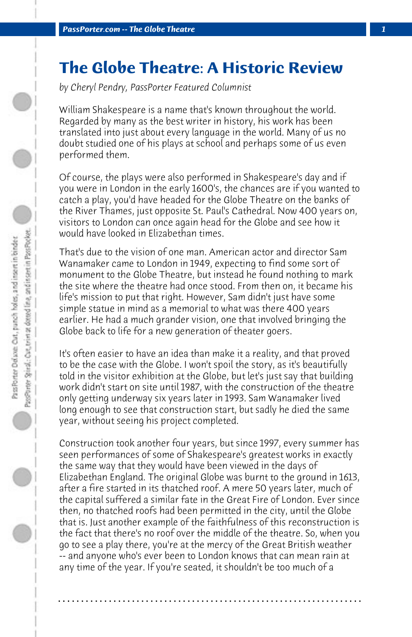## **The Globe Theatre: A Historic Review**

*by Cheryl Pendry, PassPorter Featured Columnist*

William Shakespeare is a name that's known throughout the world. Regarded by many as the best writer in history, his work has been translated into just about every language in the world. Many of us no doubt studied one of his plays at school and perhaps some of us even performed them.

Of course, the plays were also performed in Shakespeare's day and if you were in London in the early 1600's, the chances are if you wanted to catch a play, you'd have headed for the Globe Theatre on the banks of the River Thames, just opposite St. Paul's Cathedral. Now 400 years on, visitors to London can once again head for the Globe and see how it would have looked in Elizabethan times.

That's due to the vision of one man. American actor and director Sam Wanamaker came to London in 1949, expecting to find some sort of monument to the Globe Theatre, but instead he found nothing to mark the site where the theatre had once stood. From then on, it became his life's mission to put that right. However, Sam didn't just have some simple statue in mind as a memorial to what was there 400 years earlier. He had a much grander vision, one that involved bringing the Globe back to life for a new generation of theater goers.

It's often easier to have an idea than make it a reality, and that proved to be the case with the Globe. I won't spoil the story, as it's beautifully told in the visitor exhibition at the Globe, but let's just say that building work didn't start on site until 1987, with the construction of the theatre only getting underway six years later in 1993. Sam Wanamaker lived long enough to see that construction start, but sadly he died the same year, without seeing his project completed.

Construction took another four years, but since 1997, every summer has seen performances of some of Shakespeare's greatest works in exactly the same way that they would have been viewed in the days of Elizabethan England. The original Globe was burnt to the ground in 1613, after a fire started in its thatched roof. A mere 50 years later, much of the capital suffered a similar fate in the Great Fire of London. Ever since then, no thatched roofs had been permitted in the city, until the Globe that is. Just another example of the faithfulness of this reconstruction is the fact that there's no roof over the middle of the theatre. So, when you go to see a play there, you're at the mercy of the Great British weather -- and anyone who's ever been to London knows that can mean rain at any time of the year. If you're seated, it shouldn't be too much of a

**. . . . . . . . . . . . . . . . . . . . . . . . . . . . . . . . . . . . . . . . . . . . . . . . . . . . . . . . . . . . . . . . . .**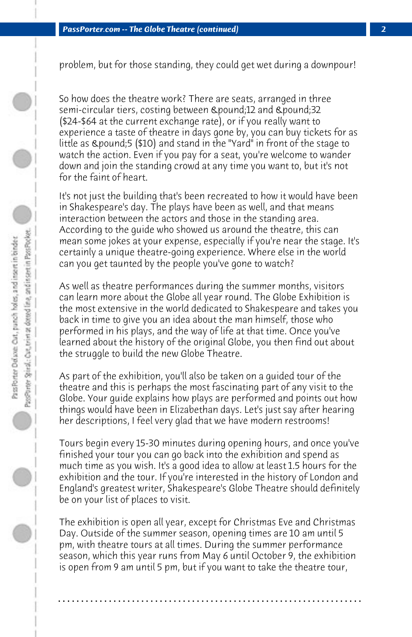problem, but for those standing, they could get wet during a downpour!

So how does the theatre work? There are seats, arranged in three semi-circular tiers, costing between £12 and £32 (\$24-\$64 at the current exchange rate), or if you really want to experience a taste of theatre in days gone by, you can buy tickets for as little as  $\alpha$  pound;5 (\$10) and stand in the "Yard" in front of the stage to watch the action. Even if you pay for a seat, you're welcome to wander down and join the standing crowd at any time you want to, but it's not for the faint of heart.

It's not just the building that's been recreated to how it would have been in Shakespeare's day. The plays have been as well, and that means interaction between the actors and those in the standing area. According to the guide who showed us around the theatre, this can mean some jokes at your expense, especially if you're near the stage. It's certainly a unique theatre-going experience. Where else in the world can you get taunted by the people you've gone to watch?

As well as theatre performances during the summer months, visitors can learn more about the Globe all year round. The Globe Exhibition is the most extensive in the world dedicated to Shakespeare and takes you back in time to give you an idea about the man himself, those who performed in his plays, and the way of life at that time. Once you've learned about the history of the original Globe, you then find out about the struggle to build the new Globe Theatre.

As part of the exhibition, you'll also be taken on a guided tour of the theatre and this is perhaps the most fascinating part of any visit to the Globe. Your guide explains how plays are performed and points out how things would have been in Elizabethan days. Let's just say after hearing her descriptions, I feel very glad that we have modern restrooms!

Tours begin every 15-30 minutes during opening hours, and once you've finished your tour you can go back into the exhibition and spend as much time as you wish. It's a good idea to allow at least 1.5 hours for the exhibition and the tour. If you're interested in the history of London and England's greatest writer, Shakespeare's Globe Theatre should definitely be on your list of places to visit.

The exhibition is open all year, except for Christmas Eve and Christmas Day. Outside of the summer season, opening times are 10 am until 5 pm, with theatre tours at all times. During the summer performance season, which this year runs from May 6 until October 9, the exhibition is open from 9 am until 5 pm, but if you want to take the theatre tour,

**. . . . . . . . . . . . . . . . . . . . . . . . . . . . . . . . . . . . . . . . . . . . . . . . . . . . . . . . . . . . . . . . . .**